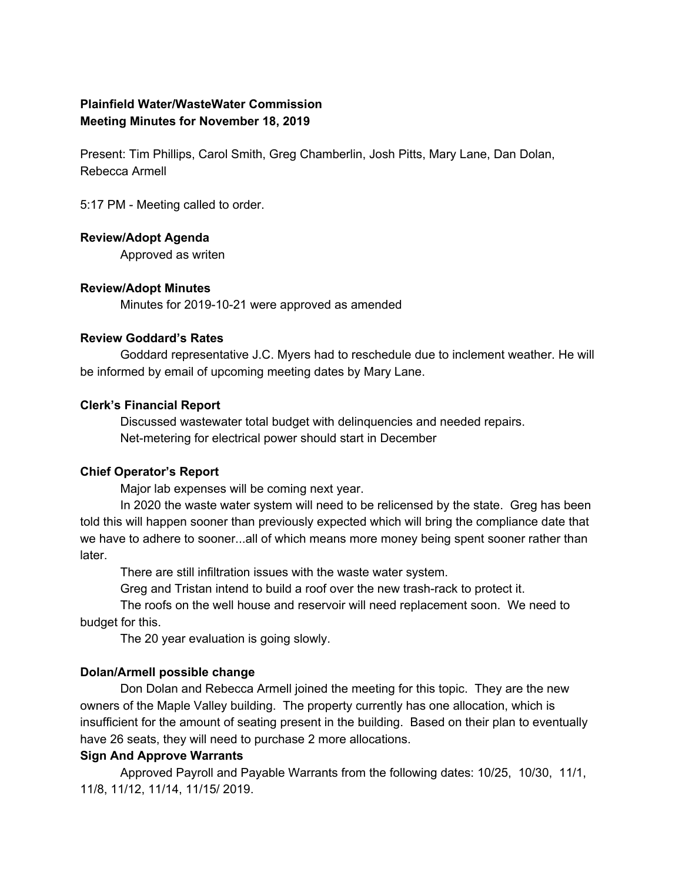# **Plainfield Water/WasteWater Commission Meeting Minutes for November 18, 2019**

Present: Tim Phillips, Carol Smith, Greg Chamberlin, Josh Pitts, Mary Lane, Dan Dolan, Rebecca Armell

5:17 PM - Meeting called to order.

# **Review/Adopt Agenda**

Approved as writen

# **Review/Adopt Minutes**

Minutes for 2019-10-21 were approved as amended

# **Review Goddard's Rates**

Goddard representative J.C. Myers had to reschedule due to inclement weather. He will be informed by email of upcoming meeting dates by Mary Lane.

#### **Clerk's Financial Report**

Discussed wastewater total budget with delinquencies and needed repairs. Net-metering for electrical power should start in December

# **Chief Operator's Report**

Major lab expenses will be coming next year.

In 2020 the waste water system will need to be relicensed by the state. Greg has been told this will happen sooner than previously expected which will bring the compliance date that we have to adhere to sooner...all of which means more money being spent sooner rather than later.

There are still infiltration issues with the waste water system.

Greg and Tristan intend to build a roof over the new trash-rack to protect it.

The roofs on the well house and reservoir will need replacement soon. We need to budget for this.

The 20 year evaluation is going slowly.

# **Dolan/Armell possible change**

Don Dolan and Rebecca Armell joined the meeting for this topic. They are the new owners of the Maple Valley building. The property currently has one allocation, which is insufficient for the amount of seating present in the building. Based on their plan to eventually have 26 seats, they will need to purchase 2 more allocations.

# **Sign And Approve Warrants**

Approved Payroll and Payable Warrants from the following dates: 10/25, 10/30, 11/1, 11/8, 11/12, 11/14, 11/15/ 2019.